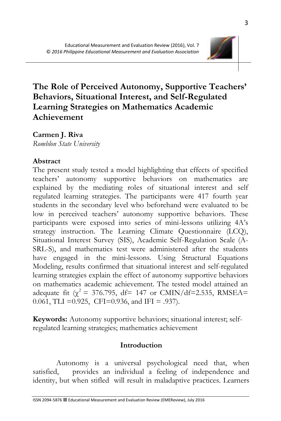

# **The Role of Perceived Autonomy, Supportive Teachers' Behaviors, Situational Interest, and Self-Regulated Learning Strategies on Mathematics Academic Achievement**

**Carmen J. Riva**

*Romblon State University*

### **Abstract**

The present study tested a model highlighting that effects of specified teachers' autonomy supportive behaviors on mathematics are explained by the mediating roles of situational interest and self regulated learning strategies. The participants were 417 fourth year students in the secondary level who beforehand were evaluated to be low in perceived teachers' autonomy supportive behaviors. These participants were exposed into series of mini-lessons utilizing 4A's strategy instruction. The Learning Climate Questionnaire (LCQ), Situational Interest Survey (SIS), Academic Self-Regulation Scale (A-SRL-S), and mathematics test were administered after the students have engaged in the mini-lessons. Using Structural Equations Modeling, results confirmed that situational interest and self-regulated learning strategies explain the effect of autonomy supportive behaviors on mathematics academic achievement. The tested model attained an adequate fit ( $\gamma^2$  = 376.795, df = 147 or CMIN/df = 2.535, RMSEA= 0.061, TLI =  $0.925$ , CFI= $0.936$ , and IFI = .937).

**Keywords:** Autonomy supportive behaviors; situational interest; selfregulated learning strategies; mathematics achievement

#### **Introduction**

Autonomy is a universal psychological need that, when satisfied, provides an individual a feeling of independence and identity, but when stifled will result in maladaptive practices. Learners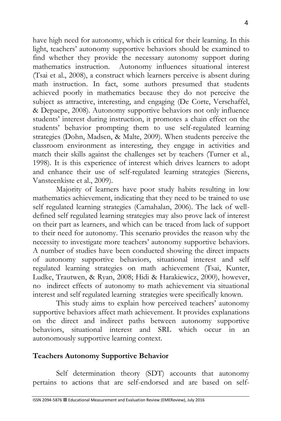have high need for autonomy, which is critical for their learning. In this light, teachers' autonomy supportive behaviors should be examined to find whether they provide the necessary autonomy support during mathematics instruction. Autonomy influences situational interest (Tsai et al., 2008), a construct which learners perceive is absent during math instruction. In fact, some authors presumed that students achieved poorly in mathematics because they do not perceive the subject as attractive, interesting, and engaging (De Corte, Verschaffel, & Depaepe, 2008). Autonomy supportive behaviors not only influence students' interest during instruction, it promotes a chain effect on the students' behavior prompting them to use self-regulated learning strategies (Dohn, Madsen, & Malte, 2009). When students perceive the classroom environment as interesting, they engage in activities and match their skills against the challenges set by teachers (Turner et al., 1998). It is this experience of interest which drives learners to adopt and enhance their use of self-regulated learning strategies (Sierens, Vansteenkiste et al., 2009).

Majority of learners have poor study habits resulting in low mathematics achievement, indicating that they need to be trained to use self regulated learning strategies (Camahalan, 2006). The lack of welldefined self regulated learning strategies may also prove lack of interest on their part as learners, and which can be traced from lack of support to their need for autonomy. This scenario provides the reason why the necessity to investigate more teachers' autonomy supportive behaviors. A number of studies have been conducted showing the direct impacts of autonomy supportive behaviors, situational interest and self regulated learning strategies on math achievement (Tsai, Kunter, Ludke, Trautwen, & Ryan, 2008; Hidi & Harakiewicz, 2000), however, no indirect effects of autonomy to math achievement via situational interest and self regulated learning strategies were specifically known.

This study aims to explain how perceived teachers' autonomy supportive behaviors affect math achievement. It provides explanations on the direct and indirect paths between autonomy supportive behaviors, situational interest and SRL which occur in an autonomously supportive learning context.

#### **Teachers Autonomy Supportive Behavior**

Self determination theory (SDT) accounts that autonomy pertains to actions that are self-endorsed and are based on self-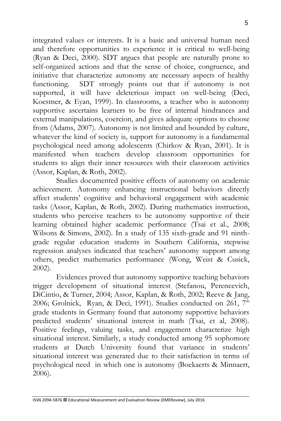integrated values or interests. It is a basic and universal human need and therefore opportunities to experience it is critical to well-being (Ryan & Deci, 2000). SDT argues that people are naturally prone to self-organized actions and that the sense of choice, congruence, and initiative that characterize autonomy are necessary aspects of healthy functioning. SDT strongly points out that if autonomy is not supported, it will have deleterious impact on well-being (Deci, Koestner, & Eyan, 1999). In classrooms, a teacher who is autonomy supportive ascertains learners to be free of internal hindrances and external manipulations, coercion, and gives adequate options to choose from (Adams, 2007). Autonomy is not limited and bounded by culture, whatever the kind of society is, support for autonomy is a fundamental psychological need among adolescents (Chirkov & Ryan, 2001). It is manifested when teachers develop classroom opportunities for students to align their inner resources with their classroom activities (Assor, Kaplan, & Roth, 2002).

Studies documented positive effects of autonomy on academic achievement. Autonomy enhancing instructional behaviors directly affect students' cognitive and behavioral engagement with academic tasks (Assor, Kaplan, & Roth, 2002). During mathematics instruction, students who perceive teachers to be autonomy supportive of their learning obtained higher academic performance (Tsai et al., 2008; Wilsons & Simons, 2002). In a study of 135 sixth-grade and 91 ninthgrade regular education students in Southern California, stepwise regression analyses indicated that teachers' autonomy support among others, predict mathematics performance (Wong, Weist & Cusick, 2002).

Evidences proved that autonomy supportive teaching behaviors trigger development of situational interest (Stefanou, Perencevich, DiCintio, & Turner, 2004; Assor, Kaplan, & Roth, 2002; Reeve & Jang, 2006; Grolnick, Ryan, & Deci, 1991). Studies conducted on 261,  $7<sup>th</sup>$ grade students in Germany found that autonomy supportive behaviors predicted students' situational interest in math (Tsai, et al, 2008). Positive feelings, valuing tasks, and engagement characterize high situational interest. Similarly, a study conducted among 95 sophomore students at Dutch University found that variance in students' situational interest was generated due to their satisfaction in terms of psychological need in which one is autonomy (Boekaerts & Minnaert, 2006).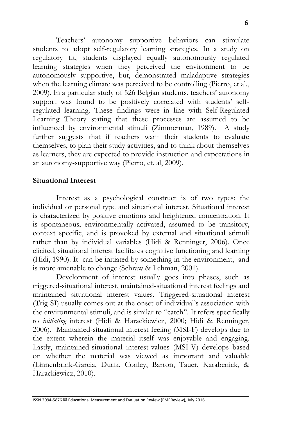Teachers' autonomy supportive behaviors can stimulate students to adopt self-regulatory learning strategies. In a study on regulatory fit, students displayed equally autonomously regulated learning strategies when they perceived the environment to be autonomously supportive, but, demonstrated maladaptive strategies when the learning climate was perceived to be controlling (Pierro, et al., 2009). In a particular study of 526 Belgian students, teachers' autonomy support was found to be positively correlated with students' selfregulated learning. These findings were in line with Self-Regulated Learning Theory stating that these processes are assumed to be influenced by environmental stimuli (Zimmerman, 1989). A study further suggests that if teachers want their students to evaluate themselves, to plan their study activities, and to think about themselves as learners, they are expected to provide instruction and expectations in an autonomy-supportive way (Pierro, et. al, 2009).

#### **Situational Interest**

Interest as a psychological construct is of two types: the individual or personal type and situational interest. Situational interest is characterized by positive emotions and heightened concentration. It is spontaneous, environmentally activated, assumed to be transitory, context specific, and is provoked by external and situational stimuli rather than by individual variables (Hidi & Renninger, 2006). Once elicited, situational interest facilitates cognitive functioning and learning (Hidi, 1990). It can be initiated by something in the environment, and is more amenable to change (Schraw & Lehman, 2001).

Development of interest usually goes into phases, such as triggered-situational interest, maintained-situational interest feelings and maintained situational interest values. Triggered-situational interest (Trig-SI) usually comes out at the onset of individual's association with the environmental stimuli, and is similar to "catch". It refers specifically to *initiating* interest (Hidi & Harackiewicz, 2000; Hidi & Renninger, 2006). Maintained-situational interest feeling (MSI-F) develops due to the extent wherein the material itself was enjoyable and engaging. Lastly, maintained-situational interest-values (MSI-V) develops based on whether the material was viewed as important and valuable (Linnenbrink-Garcia, Durik, Conley, Barron, Tauer, Karabenick, & Harackiewicz, 2010).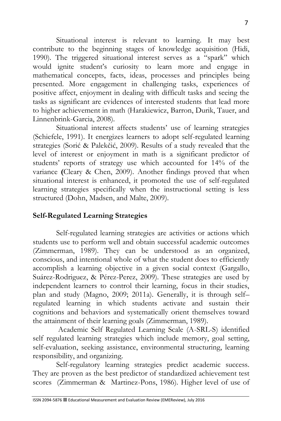Situational interest is relevant to learning. It may best contribute to the beginning stages of knowledge acquisition (Hidi, 1990). The triggered situational interest serves as a "spark" which would ignite student's curiosity to learn more and engage in mathematical concepts, facts, ideas, processes and principles being presented. More engagement in challenging tasks, experiences of positive affect, enjoyment in dealing with difficult tasks and seeing the tasks as significant are evidences of interested students that lead more to higher achievement in math (Harakiewicz, Barron, Durik, Tauer, and Linnenbrink-Garcia, 2008).

Situational interest affects students' use of learning strategies (Schiefele, 1991). It energizes learners to adopt self-regulated learning strategies (Sorić & Palekčić, 2009). Results of a study revealed **t**hat the level of interest or enjoyment in math is a significant predictor of students' reports of strategy use which accounted for 14% of the variance **(**Cleary & Chen, 2009). Another findings proved that when situational interest is enhanced, it promoted the use of self-regulated learning strategies specifically when the instructional setting is less structured (Dohn, Madsen, and Malte, 2009).

### **Self-Regulated Learning Strategies**

Self-regulated learning strategies are activities or actions which students use to perform well and obtain successful academic outcomes (Zimmerman, 1989). They can be understood as an organized, conscious, and intentional whole of what the student does to efficiently accomplish a learning objective in a given social context (Gargallo, Suárez-Rodriguez, & Pérez-Perez, 2009). These strategies are used by independent learners to control their learning, focus in their studies, plan and study (Magno, 2009; 2011a). Generally, it is through self– regulated learning in which students activate and sustain their cognitions and behaviors and systematically orient themselves toward the attainment of their learning goals (Zimmerman, 1989).

Academic Self Regulated Learning Scale (A-SRL-S) identified self regulated learning strategies which include memory, goal setting, self-evaluation, seeking assistance, environmental structuring, learning responsibility, and organizing.

Self-regulatory learning strategies predict academic success. They are proven as the best predictor of standardized achievement test scores (Zimmerman & Martinez-Pons, 1986). Higher level of use of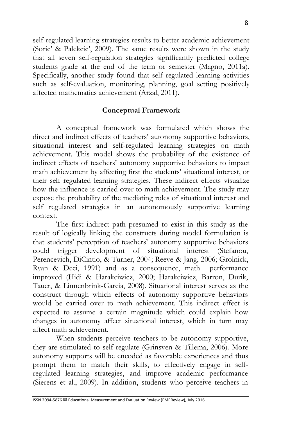self-regulated learning strategies results to better academic achievement (Soric' & Palekcic', 2009). The same results were shown in the study that all seven self-regulation strategies significantly predicted college students grade at the end of the term or semester (Magno, 2011a). Specifically, another study found that self regulated learning activities such as self-evaluation, monitoring, planning, goal setting positively affected mathematics achievement (Arzal, 2011).

### **Conceptual Framework**

A conceptual framework was formulated which shows the direct and indirect effects of teachers' autonomy supportive behaviors, situational interest and self-regulated learning strategies on math achievement. This model shows the probability of the existence of indirect effects of teachers' autonomy supportive behaviors to impact math achievement by affecting first the students' situational interest, or their self regulated learning strategies. These indirect effects visualize how the influence is carried over to math achievement. The study may expose the probability of the mediating roles of situational interest and self regulated strategies in an autonomously supportive learning context.

The first indirect path presumed to exist in this study as the result of logically linking the constructs during model formulation is that students' perception of teachers' autonomy supportive behaviors could trigger development of situational interest (Stefanou, Perencevich, DiCintio, & Turner, 2004; Reeve & Jang, 2006; Grolnick, Ryan & Deci, 1991) and as a consequence, math performance improved (Hidi & Harakeiwicz, 2000; Harakeiwicz, Barron, Durik, Tauer, & Linnenbrink-Garcia, 2008). Situational interest serves as the construct through which effects of autonomy supportive behaviors would be carried over to math achievement. This indirect effect is expected to assume a certain magnitude which could explain how changes in autonomy affect situational interest, which in turn may affect math achievement.

When students perceive teachers to be autonomy supportive, they are stimulated to self-regulate (Grinsven & Tillema, 2006). More autonomy supports will be encoded as favorable experiences and thus prompt them to match their skills, to effectively engage in selfregulated learning strategies, and improve academic performance (Sierens et al., 2009). In addition, students who perceive teachers in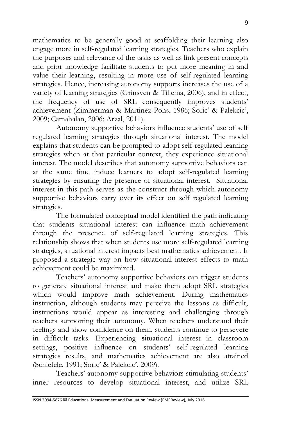mathematics to be generally good at scaffolding their learning also engage more in self-regulated learning strategies. Teachers who explain the purposes and relevance of the tasks as well as link present concepts and prior knowledge facilitate students to put more meaning in and value their learning, resulting in more use of self-regulated learning strategies. Hence, increasing autonomy supports increases the use of a variety of learning strategies (Grinsven & Tillema, 2006), and in effect, the frequency of use of SRL consequently improves students' achievement (Zimmerman & Martinez-Pons, 1986; Soric' & Palekcic', 2009; Camahalan, 2006; Arzal, 2011).

Autonomy supportive behaviors influence students' use of self regulated learning strategies through situational interest. The model explains that students can be prompted to adopt self-regulated learning strategies when at that particular context, they experience situational interest. The model describes that autonomy supportive behaviors can at the same time induce learners to adopt self-regulated learning strategies by ensuring the presence of situational interest. Situational interest in this path serves as the construct through which autonomy supportive behaviors carry over its effect on self regulated learning strategies.

The formulated conceptual model identified the path indicating that students situational interest can influence math achievement through the presence of self-regulated learning strategies. This relationship shows that when students use more self-regulated learning strategies, situational interest impacts best mathematics achievement. It proposed a strategic way on how situational interest effects to math achievement could be maximized.

Teachers' autonomy supportive behaviors can trigger students to generate situational interest and make them adopt SRL strategies which would improve math achievement. During mathematics instruction, although students may perceive the lessons as difficult, instructions would appear as interesting and challenging through teachers supporting their autonomy. When teachers understand their feelings and show confidence on them, students continue to persevere in difficult tasks. Experiencing **s**ituational interest in classroom settings, positive influence on students' self-regulated learning strategies results, and mathematics achievement are also attained (Schiefele, 1991; Soric' & Palekcic', 2009).

Teachers' autonomy supportive behaviors stimulating students' inner resources to develop situational interest, and utilize SRL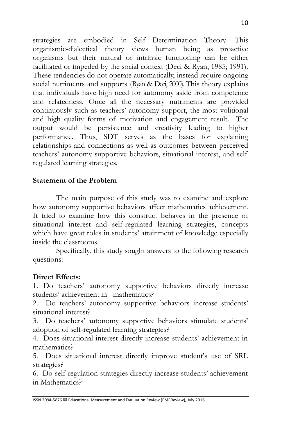strategies are embodied in Self Determination Theory. This organismic-dialectical theory views human being as proactive organisms but their natural or intrinsic functioning can be either facilitated or impeded by the social context (Deci & Ryan, 1985; 1991). These tendencies do not operate automatically, instead require ongoing social nutriments and supports (Ryan & Deci, 2000). This theory explains that individuals have high need for autonomy aside from competence and relatedness. Once all the necessary nutriments are provided continuously such as teachers' autonomy support, the most volitional and high quality forms of motivation and engagement result. The output would be persistence and creativity leading to higher performance. Thus, SDT serves as the bases for explaining relationships and connections as well as outcomes between perceived teachers' autonomy supportive behaviors, situational interest, and self regulated learning strategies.

### **Statement of the Problem**

The main purpose of this study was to examine and explore how autonomy supportive behaviors affect mathematics achievement. It tried to examine how this construct behaves in the presence of situational interest and self-regulated learning strategies, concepts which have great roles in students' attainment of knowledge especially inside the classrooms.

Specifically, this study sought answers to the following research questions:

### **Direct Effects:**

1. Do teachers' autonomy supportive behaviors directly increase students' achievement in mathematics?

2. Do teachers' autonomy supportive behaviors increase students' situational interest?

3. Do teachers' autonomy supportive behaviors stimulate students' adoption of self-regulated learning strategies?

4. Does situational interest directly increase students' achievement in mathematics?

5. Does situational interest directly improve student's use of SRL strategies?

6. Do self-regulation strategies directly increase students' achievement in Mathematics?

ISSN 2094-5876 Educational Measurement and Evaluation Review (EMEReview), July 2016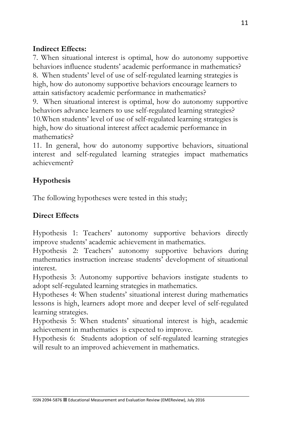## **Indirect Effects:**

7. When situational interest is optimal, how do autonomy supportive behaviors influence students' academic performance in mathematics?

8. When students' level of use of self-regulated learning strategies is high, how do autonomy supportive behaviors encourage learners to attain satisfactory academic performance in mathematics?

9. When situational interest is optimal, how do autonomy supportive behaviors advance learners to use self-regulated learning strategies? 10.When students' level of use of self-regulated learning strategies is high, how do situational interest affect academic performance in mathematics?

11. In general, how do autonomy supportive behaviors, situational interest and self-regulated learning strategies impact mathematics achievement?

## **Hypothesis**

The following hypotheses were tested in this study;

## **Direct Effects**

Hypothesis 1: Teachers' autonomy supportive behaviors directly improve students' academic achievement in mathematics.

Hypothesis 2: Teachers' autonomy supportive behaviors during mathematics instruction increase students' development of situational interest.

Hypothesis 3: Autonomy supportive behaviors instigate students to adopt self-regulated learning strategies in mathematics.

Hypotheses 4: When students' situational interest during mathematics lessons is high, learners adopt more and deeper level of self-regulated learning strategies.

Hypothesis 5: When students' situational interest is high, academic achievement in mathematics is expected to improve.

Hypothesis 6: Students adoption of self-regulated learning strategies will result to an improved achievement in mathematics.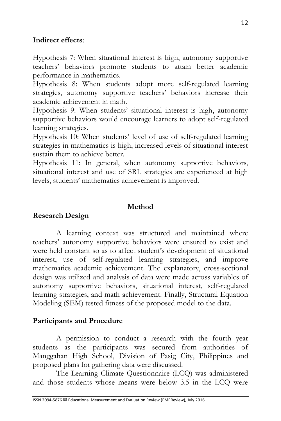#### **Indirect effects**:

Hypothesis 7: When situational interest is high, autonomy supportive teachers' behaviors promote students to attain better academic performance in mathematics.

Hypothesis 8: When students adopt more self-regulated learning strategies, autonomy supportive teachers' behaviors increase their academic achievement in math.

Hypothesis 9: When students' situational interest is high, autonomy supportive behaviors would encourage learners to adopt self-regulated learning strategies.

Hypothesis 10: When students' level of use of self-regulated learning strategies in mathematics is high, increased levels of situational interest sustain them to achieve better.

Hypothesis 11: In general, when autonomy supportive behaviors, situational interest and use of SRL strategies are experienced at high levels, students' mathematics achievement is improved.

#### **Method**

### **Research Design**

A learning context was structured and maintained where teachers' autonomy supportive behaviors were ensured to exist and were held constant so as to affect student's development of situational interest, use of self-regulated learning strategies, and improve mathematics academic achievement. The explanatory, cross-sectional design was utilized and analysis of data were made across variables of autonomy supportive behaviors, situational interest, self-regulated learning strategies, and math achievement. Finally, Structural Equation Modeling (SEM) tested fitness of the proposed model to the data.

### **Participants and Procedure**

A permission to conduct a research with the fourth year students as the participants was secured from authorities of Manggahan High School, Division of Pasig City, Philippines and proposed plans for gathering data were discussed.

The Learning Climate Questionnaire (LCQ) was administered and those students whose means were below 3.5 in the LCQ were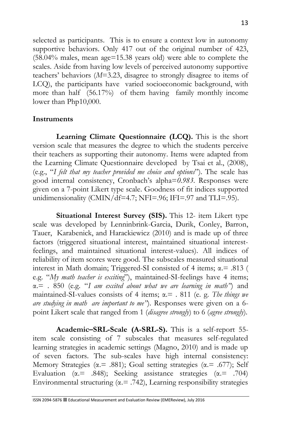selected as participants. This is to ensure a context low in autonomy supportive behaviors. Only 417 out of the original number of 423, (58.04% males, mean age=15.38 years old) were able to complete the scales. Aside from having low levels of perceived autonomy supportive teachers' behaviors (*M*=3.23, disagree to strongly disagree to items of LCQ), the participants have varied socioeconomic background, with more than half (56.17%) of them having family monthly income lower than Php10,000.

### **Instruments**

**Learning Climate Questionnaire (LCQ).** This is the short version scale that measures the degree to which the students perceive their teachers as supporting their autonomy. Items were adapted from the Learning Climate Questionnaire developed by Tsai et al., (2008), (e.g., "*I felt that my teacher provided me choice and options*"). The scale has good internal consistency, Cronbach's alpha=*0.983*. Responses were given on a 7-point Likert type scale. Goodness of fit indices supported unidimensionality (CMIN/df=4.7; NFI=.96; IFI=.97 and TLI=.95).

**Situational Interest Survey (SIS).** This 12- item Likert type scale was developed by Lenninbrink-Garcia, Durik, Conley, Barron, Tauer, Karabenick, and Harackiewicz (2010) and is made up of three factors (triggered situational interest, maintained situational interestfeelings, and maintained situational interest-values). All indices of reliability of item scores were good. The subscales measured situational interest in Math domain; Triggered-SI consisted of 4 items;  $\alpha$  = .813 ( e.g. "*My math teacher is exciting*"), maintained-SI-feelings have 4 items; α.= . 850 (e.g. "*I am excited about what we are learning in math"*) and maintained-SI-values consists of 4 items; α.= . 811 (e. g. *The things we are studying in math are important to me"*). Responses were given on a 6 point Likert scale that ranged from 1 (*disagree strongly*) to 6 (*agree strongly*).

**Academic–SRL-Scale (A-SRL-S).** This is a self-report 55 item scale consisting of 7 subscales that measures self-regulated learning strategies in academic settings (Magno, 2010) and is made up of seven factors. The sub-scales have high internal consistency: Memory Strategies ( $\alpha$ . = .881); Goal setting strategies ( $\alpha$ . = .677); Self Evaluation ( $\alpha$ . = .848); Seeking assistance strategies ( $\alpha$ . = .704) Environmental structuring ( $\alpha$ . = .742), Learning responsibility strategies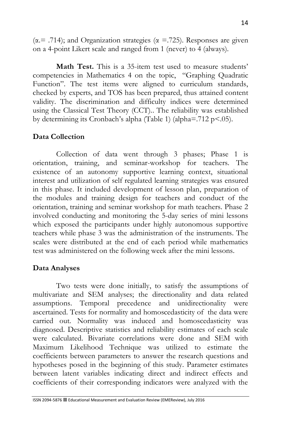( $\alpha$ . = .714); and Organization strategies ( $\alpha$  = .725). Responses are given on a 4-point Likert scale and ranged from 1 (never) to 4 (always).

**Math Test.** This is a 35-item test used to measure students' competencies in Mathematics 4 on the topic, "Graphing Quadratic Function". The test items were aligned to curriculum standards, checked by experts, and TOS has been prepared, thus attained content validity. The discrimination and difficulty indices were determined using the Classical Test Theory (CCT)*.*. The reliability was established by determining its Cronbach's alpha (Table 1) (alpha=.712 p<.05).

### **Data Collection**

Collection of data went through 3 phases; Phase 1 is orientation, training, and seminar-workshop for teachers. The existence of an autonomy supportive learning context, situational interest and utilization of self regulated learning strategies was ensured in this phase. It included development of lesson plan, preparation of the modules and training design for teachers and conduct of the orientation, training and seminar workshop for math teachers. Phase 2 involved conducting and monitoring the 5-day series of mini lessons which exposed the participants under highly autonomous supportive teachers while phase 3 was the administration of the instruments. The scales were distributed at the end of each period while mathematics test was administered on the following week after the mini lessons.

### **Data Analyses**

Two tests were done initially, to satisfy the assumptions of multivariate and SEM analyses; the directionality and data related assumptions. Temporal precedence and unidirectionality were ascertained. Tests for normality and homoscedasticity of the data were carried out. Normality was induced and homoscedasticity was diagnosed. Descriptive statistics and reliability estimates of each scale were calculated. Bivariate correlations were done and SEM with Maximum Likelihood Technique was utilized to estimate the coefficients between parameters to answer the research questions and hypotheses posed in the beginning of this study. Parameter estimates between latent variables indicating direct and indirect effects and coefficients of their corresponding indicators were analyzed with the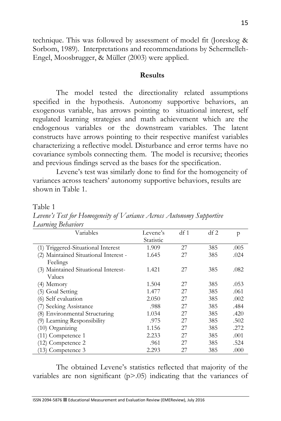technique. This was followed by assessment of model fit (Joreskog & Sorbom, 1989). Interpretations and recommendations by Schermelleh-Engel, Moosbrugger, & Müller (2003) were applied.

#### **Results**

The model tested the directionality related assumptions specified in the hypothesis. Autonomy supportive behaviors, an exogenous variable, has arrows pointing to situational interest, self regulated learning strategies and math achievement which are the endogenous variables or the downstream variables. The latent constructs have arrows pointing to their respective manifest variables characterizing a reflective model. Disturbance and error terms have no covariance symbols connecting them. The model is recursive; theories and previous findings served as the bases for the specification.

Levene's test was similarly done to find for the homogeneity of variances across teachers' autonomy supportive behaviors, results are shown in Table 1.

Table 1

*Levene's Test for Homogeneity of Variance Across Autonomy Supportive Learning Behaviors*

| O<br>Variables                        | Levene's  | $df_1$ | df2 | p    |
|---------------------------------------|-----------|--------|-----|------|
|                                       | Statistic |        |     |      |
| (1) Triggered-Situational Interest    | 1.909     | 27     | 385 | .005 |
| (2) Maintained Situational Interest - | 1.645     | 27     | 385 | .024 |
| Feelings                              |           |        |     |      |
| (3) Maintained Situational Interest-  | 1.421     | 27     | 385 | .082 |
| Values                                |           |        |     |      |
| (4) Memory                            | 1.504     | 27     | 385 | .053 |
| (5) Goal Setting                      | 1.477     | 27     | 385 | .061 |
| (6) Self evaluation                   | 2.050     | 27     | 385 | .002 |
| (7) Seeking Assistance                | .988      | 27     | 385 | .484 |
| (8) Environmental Structuring         | 1.034     | 27     | 385 | .420 |
| (9) Learning Responsibility           | .975      | 27     | 385 | .502 |
| $(10)$ Organizing                     | 1.156     | 27     | 385 | .272 |
| $(11)$ Competence 1                   | 2.233     | 27     | 385 | .001 |
| (12) Competence 2                     | .961      | 27     | 385 | .524 |
| (13) Competence 3                     | 2.293     | 27     | 385 | .000 |

The obtained Levene's statistics reflected that majority of the variables are non significant  $(p>0.05)$  indicating that the variances of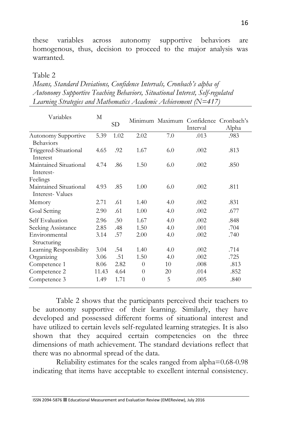these variables across autonomy supportive behaviors are homogenous, thus, decision to proceed to the major analysis was warranted.

Table 2

| Means, Standard Deviations, Confidence Intervals, Cronbach's alpha of        |
|------------------------------------------------------------------------------|
| Autonomy Supportive Teaching Behaviors, Situational Interest, Self-regulated |
| Learning Strategies and Mathematics Academic Achievement (N=417)             |

| Variables                                 | М     | SD   |                |     | Minimum Maximum Confidence Cronbach's<br>Interval | Alpha |
|-------------------------------------------|-------|------|----------------|-----|---------------------------------------------------|-------|
| Autonomy Supportive<br>Behaviors          | 5.39  | 1.02 | 2.02           | 7.0 | .013                                              | .983  |
| Triggered-Situational<br>Interest         | 4.65  | .92  | 1.67           | 6.0 | .002                                              | .813  |
| Maintained Situational<br>Interest-       | 4.74  | .86  | 1.50           | 6.0 | .002                                              | .850  |
| Feelings                                  |       |      |                |     |                                                   |       |
| Maintained Situational<br>Interest-Values | 4.93  | .85  | 1.00           | 6.0 | .002                                              | .811  |
| Memory                                    | 2.71  | .61  | 1.40           | 4.0 | .002                                              | .831  |
| Goal Setting                              | 2.90  | .61  | 1.00           | 4.0 | .002                                              | .677  |
| Self Evaluation                           | 2.96  | .50  | 1.67           | 4.0 | .002                                              | .848  |
| Seeking Assistance                        | 2.85  | .48  | 1.50           | 4.0 | .001                                              | .704  |
| Environmental<br>Structuring              | 3.14  | .57  | 2.00           | 4.0 | .002                                              | .740  |
| Learning Responsibility                   | 3.04  | .54  | 1.40           | 4.0 | .002                                              | .714  |
| Organizing                                | 3.06  | .51  | 1.50           | 4.0 | .002                                              | .725  |
| Competence 1                              | 8.06  | 2.82 | $\theta$       | 10  | .008                                              | .813  |
| Competence 2                              | 11.43 | 4.64 | $\theta$       | 20  | .014                                              | .852  |
| Competence 3                              | 1.49  | 1.71 | $\overline{0}$ | 5   | .005                                              | .840  |

Table 2 shows that the participants perceived their teachers to be autonomy supportive of their learning. Similarly, they have developed and possessed different forms of situational interest and have utilized to certain levels self-regulated learning strategies. It is also shown that they acquired certain competencies on the three dimensions of math achievement. The standard deviations reflect that there was no abnormal spread of the data.

Reliability estimates for the scales ranged from alpha=0.68-0.98 indicating that items have acceptable to excellent internal consistency.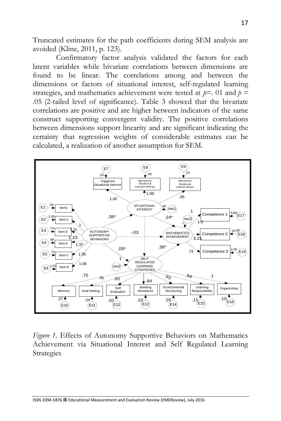Truncated estimates for the path coefficients during SEM analysis are avoided (Kline, 2011, p. 123).

Confirmatory factor analysis validated the factors for each latent variables while bivariate correlations between dimensions are found to be linear. The correlations among and between the dimensions or factors of situational interest, self-regulated learning strategies, and mathematics achievement were tested at  $p=01$  and  $p=$ .05 (2-tailed level of significance). Table 3 showed that the bivariate correlations are positive and are higher between indicators of the same construct supporting convergent validity. The positive correlations between dimensions support linearity and are significant indicating the certainty that regression weights of considerable estimates can be calculated, a realization of another assumption for SEM.



*Figure 1*. Effects of Autonomy Supportive Behaviors on Mathematics Achievement via Situational Interest and Self Regulated Learning Strategies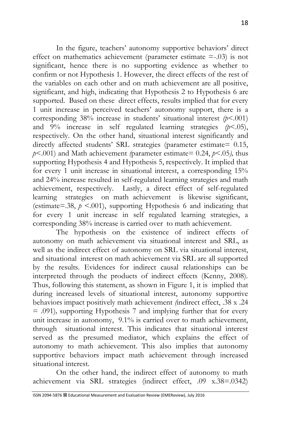In the figure, teachers' autonomy supportive behaviors' direct effect on mathematics achievement (parameter estimate =-.03) is not significant, hence there is no supporting evidence as whether to confirm or not Hypothesis 1. However, the direct effects of the rest of the variables on each other and on math achievement are all positive, significant, and high, indicating that Hypothesis 2 to Hypothesis 6 are supported. Based on these direct effects, results implied that for every 1 unit increase in perceived teachers' autonomy support, there is a corresponding  $38\%$  increase in students' situational interest  $(p<.001)$ and 9% increase in self regulated learning strategies *(p*<.05), respectively. On the other hand, situational interest significantly and directly affected students' SRL strategies (parameter estimate= 0.15, *p*<.001) and Math achievement *(*parameter estimate= 0.24, *p*<.05*),* thus supporting Hypothesis 4 and Hypothesis 5, respectively. It implied that for every 1 unit increase in situational interest, a corresponding 15% and 24% increase resulted in self-regulated learning strategies and math achievement, respectively. Lastly, a direct effect of self-regulated learning strategies on math achievement is likewise significant, (estimate=.38,  $p \le 0.001$ ), supporting Hypothesis 6 and indicating that for every 1 unit increase in self regulated learning strategies, a corresponding 38% increase is carried over to math achievement.

The hypothesis on the existence of indirect effects of autonomy on math achievement via situational interest and SRL, as well as the indirect effect of autonomy on SRL via situational interest, and situational interest on math achievement via SRL are all supported by the results. Evidences for indirect causal relationships can be interpreted through the products of indirect effects (Kenny, 2008). Thus, following this statement, as shown in Figure 1, it is implied that during increased levels of situational interest, autonomy supportive behaviors impact positively math achievement *(*indirect effect, .38 x .24 = .091)*,* supporting Hypothesis 7 and implying further that for every unit increase in autonomy, 9.1% is carried over to math achievement, through situational interest. This indicates that situational interest served as the presumed mediator, which explains the effect of autonomy to math achievement. This also implies that autonomy supportive behaviors impact math achievement through increased situational interest.

On the other hand, the indirect effect of autonomy to math achievement via SRL strategies (indirect effect, .09 x.38=.0342)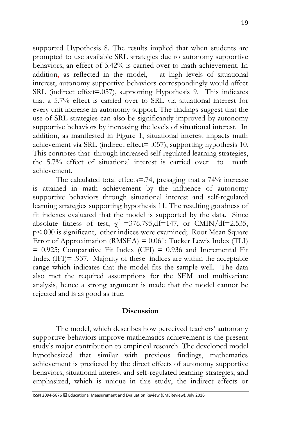supported Hypothesis 8. The results implied that when students are prompted to use available SRL strategies due to autonomy supportive behaviors, an effect of 3.42% is carried over to math achievement. In addition, as reflected in the model, at high levels of situational interest, autonomy supportive behaviors correspondingly would affect SRL (indirect effect=.057), supporting Hypothesis 9. This indicates that a 5.7% effect is carried over to SRL via situational interest for every unit increase in autonomy support. The findings suggest that the use of SRL strategies can also be significantly improved by autonomy supportive behaviors by increasing the levels of situational interest. In addition, as manifested in Figure 1, situational interest impacts math achievement via SRL (indirect effect= .057), supporting hypothesis 10. This connotes that through increased self-regulated learning strategies, the 5.7% effect of situational interest is carried over to math achievement.

The calculated total effects=.74, presaging that a 74% increase is attained in math achievement by the influence of autonomy supportive behaviors through situational interest and self-regulated learning strategies supporting hypothesis 11. The resulting goodness of fit indexes evaluated that the model is supported by the data. Since absolute fitness of test,  $\chi^2$  =376.795,df=147, or CMIN/df=2.535, p<.000 is significant, other indices were examined; Root Mean Square Error of Approximation (RMSEA) = 0.061; Tucker Lewis Index (TLI)  $= 0.925$ ; Comparative Fit Index (CFI)  $= 0.936$  and Incremental Fit Index (IFI)= .937. Majority of these indices are within the acceptable range which indicates that the model fits the sample well. The data also met the required assumptions for the SEM and multivariate analysis, hence a strong argument is made that the model cannot be rejected and is as good as true.

#### **Discussion**

The model, which describes how perceived teachers' autonomy supportive behaviors improve mathematics achievement is the present study's major contribution to empirical research. The developed model hypothesized that similar with previous findings, mathematics achievement is predicted by the direct effects of autonomy supportive behaviors, situational interest and self-regulated learning strategies, and emphasized, which is unique in this study, the indirect effects or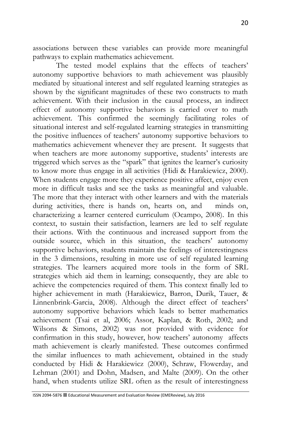associations between these variables can provide more meaningful pathways to explain mathematics achievement.

The tested model explains that the effects of teachers' autonomy supportive behaviors to math achievement was plausibly mediated by situational interest and self regulated learning strategies as shown by the significant magnitudes of these two constructs to math achievement. With their inclusion in the causal process, an indirect effect of autonomy supportive behaviors is carried over to math achievement. This confirmed the seemingly facilitating roles of situational interest and self-regulated learning strategies in transmitting the positive influences of teachers' autonomy supportive behaviors to mathematics achievement whenever they are present. It suggests that when teachers are more autonomy supportive, students' interests are triggered which serves as the "spark" that ignites the learner's curiosity to know more thus engage in all activities (Hidi & Harakiewicz, 2000). When students engage more they experience positive affect, enjoy even more in difficult tasks and see the tasks as meaningful and valuable. The more that they interact with other learners and with the materials during activities, there is hands on, hearts on, and minds on, characterizing a learner centered curriculum (Ocampo, 2008). In this context, to sustain their satisfaction, learners are led to self regulate their actions. With the continuous and increased support from the outside source, which in this situation, the teachers' autonomy supportive behaviors, students maintain the feelings of interestingness in the 3 dimensions, resulting in more use of self regulated learning strategies. The learners acquired more tools in the form of SRL strategies which aid them in learning; consequently, they are able to achieve the competencies required of them. This context finally led to higher achievement in math (Harakiewicz, Barron, Durik, Tauer, & Linnenbrink-Garcia, 2008). Although the direct effect of teachers' autonomy supportive behaviors which leads to better mathematics achievement (Tsai et al, 2006; Assor, Kaplan, & Roth, 2002; and Wilsons & Simons, 2002) was not provided with evidence for confirmation in this study, however, how teachers' autonomy affects math achievement is clearly manifested. These outcomes confirmed the similar influences to math achievement, obtained in the study conducted by Hidi & Harakiewicz (2000), Schraw, Flowerday, and Lehman (2001) and Dohn, Madsen, and Malte (2009). On the other hand, when students utilize SRL often as the result of interestingness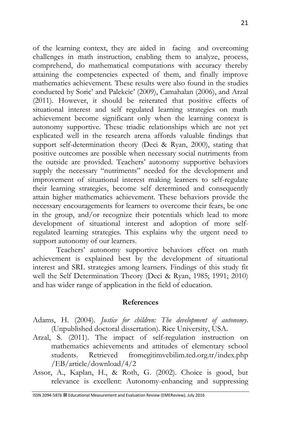of the learning context, they are aided in facing and overcoming challenges in math instruction, enabling them to analyze, process, comprehend, do mathematical computations with accuracy thereby attaining the competencies expected of them, and finally improve mathematics achievement. These results were also found in the studies conducted by Soric' and Palekcic' (2009), Camahalan (2006), and Arzal (2011). However, it should be reiterated that positive effects of situational interest and self regulated learning strategies on math achievement become significant only when the learning context is autonomy supportive. These triadic relationships which are not yet explicated well in the research arena affords valuable findings that support self-determination theory (Deci & Ryan, 2000), stating that positive outcomes are possible when necessary social nutriments from the outside are provided. Teachers' autonomy supportive behaviors supply the necessary "nutriments" needed for the development and improvement of situational interest making learners to self-regulate their learning strategies, become self determined and consequently attain higher mathematics achievement. These behaviors provide the necessary encouragements for learners to overcome their fears, be one in the group, and/or recognize their potentials which lead to more development of situational interest and adoption of more selfregulated learning strategies. This explains why the urgent need to support autonomy of our learners.

Teachers' autonomy supportive behaviors effect on math achievement is explained best by the development of situational interest and SRL strategies among learners. Findings of this study fit well the Self Determination Theory (Deci & Ryan, 1985; 1991; 2010) and has wider range of application in the field of education.

#### **References**

- Adams, H. (2004). *Justice for children: The development of autonomy*. (Unpublished doctoral dissertation). Rice University, USA.
- Arzal, S. (2011). The impact of self-regulation instruction on mathematics achievements and attitudes of elementary school students. Retrieved fromegitimvebilim.ted.org.tr/index.php /EB/article/download/4/2
- Assor, A., Kaplan, H., & Roth, G. (2002). Choice is good, but relevance is excellent: Autonomy-enhancing and suppressing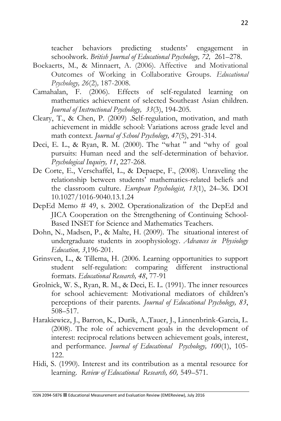teacher behaviors predicting students' engagement in schoolwork. *British Journal of Educational Psychology, 72,* 261–278.

- Boekaerts, M., & Minnaert, A. (2006). Affective and Motivational Outcomes of Working in Collaborative Groups. *Educational Psychology, 26*(2)*,* 187-2008.
- Camahalan, F. (2006). Effects of self-regulated learning on mathematics achievement of selected Southeast Asian children. *Journal of Instructional Psychology, 33*(3), 194-205.
- Cleary, T., & Chen, P. (2009) .Self-regulation, motivation, and math achievement in middle school: Variations across grade level and math context. *Journal of School Psychology, 47*(5), 291-314.
- Deci, E. L., & Ryan, R. M. (2000). The "what " and "why of goal pursuits: Human need and the self-determination of behavior. *Psychological Inquiry, 11*, 227-268.
- De Corte, E., Verschaffel, L., & Depaepe, F., (2008). Unraveling the relationship between students' mathematics-related beliefs and the classroom culture. *European Psychologist, 13*(1), 24–36. DOI 10.1027/1016-9040.13.1.24
- DepEd Memo # 49, s. 2002. Operationalization of the DepEd and JICA Cooperation on the Strengthening of Continuing School-Based INSET for Science and Mathematics Teachers.
- Dohn, N., Madsen, P., & Malte, H. (2009). The situational interest of undergraduate students in zoophysiology. *Advances in Physiology Education, 3*,196-201.
- Grinsven, L., & Tillema, H. (2006. Learning opportunities to support student self-regulation: comparing different instructional formats. *Educational Research, 48*, 77-91
- Grolnick, W. S., Ryan, R. M., & Deci, E. L. (1991). The inner resources for school achievement: Motivational mediators of children's perceptions of their parents. *Journal of Educational Psychology, 83*, 508–517.
- Harakiewicz, J., Barron, K., Durik, A.,Tauer, J., Linnenbrink-Garcia, L. (2008). The role of achievement goals in the development of interest: reciprocal relations between achievement goals, interest, and performance. *Journal of Educational Psychology, 100*(1), 105- 122.
- Hidi, S. (1990). Interest and its contribution as a mental resource for learning. *Review of Educational Research, 60,* 549–571.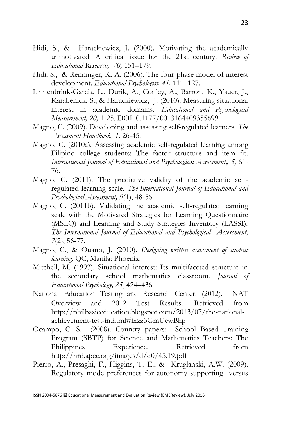- Hidi, S., & Harackiewicz, J. (2000). Motivating the academically unmotivated: A critical issue for the 21st century. *Review of Educational Research, 70,* 151–179.
- Hidi, S., & Renninger, K. A. (2006). The four-phase model of interest development. *Educational Psychologist, 41,* 111–127.
- Linnenbrink-Garcia, L., Durik, A., Conley, A., Barron, K., Yauer, J., Karabenick, S., & Harackiewicz, J. (2010). Measuring situational interest in academic domains. *Educational and Psychological Measurement, 20,* 1-25. DOI: 0.1177/0013164409355699
- Magno, C. (2009). Developing and assessing self-regulated learners. *The Assessment Handbook, 1,* 26-45.
- Magno, C. (2010a). Assessing academic self-regulated learning among Filipino college students: The factor structure and item fit. *International Journal of Educational and Psychological Assessment***,** *5,* 61- 76.
- Magno, C. (2011). The predictive validity of the academic selfregulated learning scale. *The International Journal of Educational and Psychological Assessment, 9*(1), 48-56.
- Magno, C. (2011b). Validating the academic self-regulated learning scale with the Motivated Strategies for Learning Questionnaire (MSLQ) and Learning and Study Strategies Inventory (LASSI). *The International Journal of Educational and Psychological Assessment, 7*(2), 56-77.
- Magno, C., & Ouano, J. (2010). *Designing written assessment of student learning*. QC, Manila: Phoenix.
- Mitchell, M. (1993). Situational interest: Its multifaceted structure in the secondary school mathematics classroom. *Journal of Educational Psychology, 85*, 424–436.
- National Education Testing and Research Center. (2012). [NAT](http://depednaga.com.ph/files/2013-NAT-Presentation-Dr.-Benito-for-DTC.pdf)  [Overview and 2012 Test Results](http://depednaga.com.ph/files/2013-NAT-Presentation-Dr.-Benito-for-DTC.pdf). Retrieved from [http://philbasiceducation.blogspot.com/2013/07/the-national](http://philbasiceducation.blogspot.com/2013/07/the-national-achievement-test-in.html#ixzz3GmUewBhp)[achievement-test-in.html#ixzz3GmUewBhp](http://philbasiceducation.blogspot.com/2013/07/the-national-achievement-test-in.html#ixzz3GmUewBhp)
- Ocampo, C. S. (2008). Country papers: School Based Training Program (SBTP) for Science and Mathematics Teachers: The Philippines Experience. Retrieved from http://hrd.apec.org/images/d/d0/45.19.pdf
- Pierro, A., Presaghi, F., Higgins, T. E., & Kruglanski, A.W. (2009). Regulatory mode preferences for autonomy supporting versus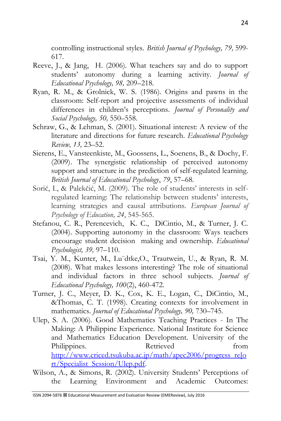controlling instructional styles. *British Journal of Psychology, 79,* 599- 617.

- Reeve, J., & Jang, H. (2006). What teachers say and do to support students' autonomy during a learning activity. *Journal of Educational Psychology, 98,* 209–218.
- Ryan, R. M., & Grolnick, W. S. (1986). Origins and pawns in the classroom: Self-report and projective assessments of individual differences in children's perceptions. *Journal of Personality and Social Psychology, 50,* 550–558.
- Schraw, G., & Lehman, S. (2001). Situational interest: A review of the literature and directions for future research. *Educational Psychology Review, 13,* 23–52.
- Sierens, E., Vansteenkiste, M., Goossens, L., Soenens, B., & Dochy, F. (2009). The synergistic relationship of perceived autonomy support and structure in the prediction of self-regulated learning. *British Journal of Educational Psychology*, *79*, 57–68.
- Sorić, I., & Palekčić, M. (2009). The role of students' interests in selfregulated learning: The relationship between students' interests, learning strategies and causal attributions. *European Journal of Psychology of Education, 24*, 545-565.
- Stefanou, C. R., Perencevich, K. C., DiCintio, M., & Turner, J. C. (2004). Supporting autonomy in the classroom: Ways teachers encourage student decision making and ownership. *Educational Psychologist, 39,* 97–110.
- Tsai, Y. M., Kunter, M., Lu¨dtke,O., Trautwein, U., & Ryan, R. M. (2008). What makes lessons interesting? The role of situational and individual factors in three school subjects. *Journal of Educational Psychology, 100*(2), 460-472.
- Turner, J. C., Meyer, D. K., Cox, K. E., Logan, C., DiCintio, M., &Thomas, C. T. (1998). Creating contexts for involvement in mathematics. *Journal of Educational Psychology, 90,* 730–745.
- Ulep, S. A. (2006). Good Mathematics Teaching Practices In The Making: A Philippine Experience. National Institute for Science and Mathematics Education Development. University of the Philippines. Retrieved from [http://www.criced.tsukuba.ac.jp/math/apec2006/progress\\_re\[o](http://www.criced.tsukuba.ac.jp/math/apec2006/progress_re%5bort/Specialist_Session/Ulep.pdf) [rt/Specialist\\_Session/Ulep.pdf.](http://www.criced.tsukuba.ac.jp/math/apec2006/progress_re%5bort/Specialist_Session/Ulep.pdf)
- Wilson, A., & Simons, R. (2002). University Students' Perceptions of the Learning Environment and Academic Outcomes: